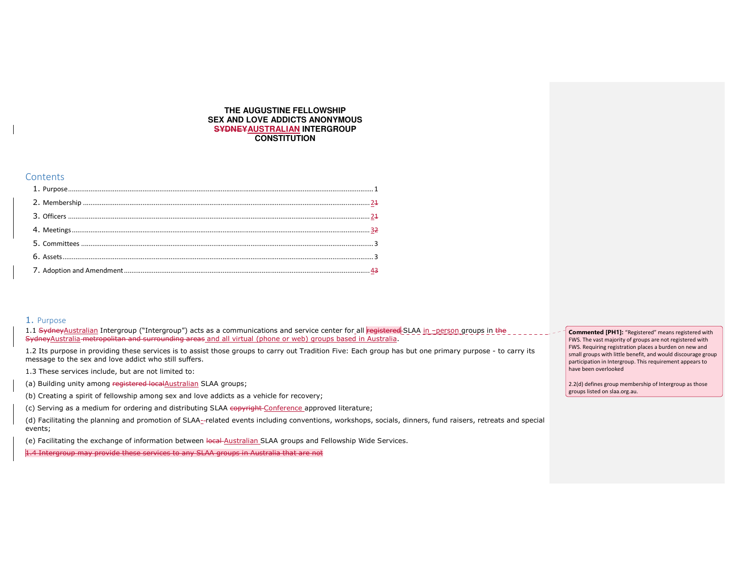### **THE AUGUSTINE FELLOWSHIP SEX AND LOVE ADDICTS ANONYMOUS SYDNEYAUSTRALIAN INTERGROUP CONSTITUTION**

### **Contents**

# 1. Purpose

1.1 S<del>ydneyAustralian</del> Intergroup ("Intergroup") acts as a communications and service center for\_all <mark>registered</mark> SLAA <u>in –person gr</u>oups in the SydneyAustralia metropolitan and surrounding areas and all virtual (phone or web) groups based in Australia.

1.2 Its purpose in providing these services is to assist those groups to carry out Tradition Five: Each group has but one primary purpose - to carry its message to the sex and love addict who still suffers.

1.3 These services include, but are not limited to:

(a) Building unity among registered localAustralian SLAA groups;

(b) Creating a spirit of fellowship among sex and love addicts as a vehicle for recovery;

(c) Serving as a medium for ordering and distributing SLAA copyright Conference approved literature;

(d) Facilitating the planning and promotion of SLAA- related events including conventions, workshops, socials, dinners, fund raisers, retreats and special events;

(e) Facilitating the exchange of information between local Australian SLAA groups and Fellowship Wide Services.

1.4 Intergroup may provide these services to any SLAA groups in Australia that are not

**Commented [PH1]:** "Registered" means registered with FWS. The vast majority of groups are not registered with FWS. Requiring registration places a burden on new and small groups with little benefit, and would discourage group participation in Intergroup. This requirement appears to have been overlooked

2.2(d) defines group membership of Intergroup as those groups listed on slaa.org.au.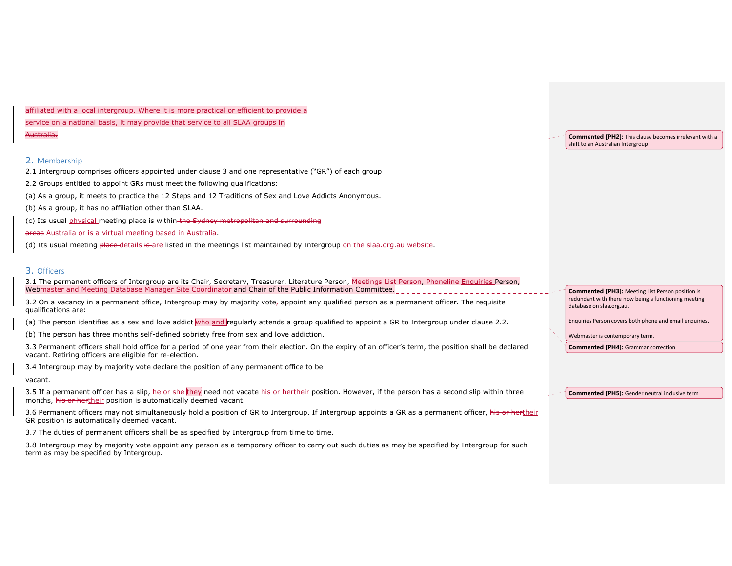| affiliated with a local intergroup. Where it is more practical or efficient to provide a |  |  |  |  |  |  |  |  |
|------------------------------------------------------------------------------------------|--|--|--|--|--|--|--|--|
| service on a national basis, it may provide that service to all SLAA groups in           |  |  |  |  |  |  |  |  |
| Australia.                                                                               |  |  |  |  |  |  |  |  |

### 2. Membership

2.1 Intergroup comprises officers appointed under clause 3 and one representative ("GR") of each group

2.2 Groups entitled to appoint GRs must meet the following qualifications:

(a) As a group, it meets to practice the 12 Steps and 12 Traditions of Sex and Love Addicts Anonymous.

- (b) As a group, it has no affiliation other than SLAA.
- (c) Its usual physical meeting place is within the Sydney metropolitan and surrounding

#### areas Australia or is a virtual meeting based in Australia.

(d) Its usual meeting place details is are listed in the meetings list maintained by Intergroup on the slaa.org.au website.

### 3. Officers

3.1 The permanent officers of Intergroup are its Chair, Secretary, Treasurer, Literature Person, Meetings List Person, Phoneline Enquiries Person, Web<u>master and Meeting Database Manager <del>Site Coordinator a</del>nd Chair of the Public Information Committee.<mark>.</mark></u>

3.2 On a vacancy in a permanent office, Intergroup may by majority vote, appoint any qualified person as a permanent officer. The requisite qualifications are:

(a) The person identifies as a sex and love addict who and regularly attends a group qualified to appoint a GR to Intergroup under clause 2.2.

(b) The person has three months self-defined sobriety free from sex and love addiction.

3.3 Permanent officers shall hold office for a period of one year from their election. On the expiry of an officer's term, the position shall be declaredvacant. Retiring officers are eligible for re-election.

3.4 Intergroup may by majority vote declare the position of any permanent office to be

vacant.

3.5 If a permanent officer has a slip, he or she they need not vacate his or hertheir position. However, if the person has a second slip within three months, his or hertheir position is automatically deemed vacant.

3.6 Permanent officers may not simultaneously hold a position of GR to Intergroup. If Intergroup appoints a GR as a permanent officer, his or hertheir GR position is automatically deemed vacant.

3.7 The duties of permanent officers shall be as specified by Intergroup from time to time.

3.8 Intergroup may by majority vote appoint any person as a temporary officer to carry out such duties as may be specified by Intergroup for such term as may be specified by Intergroup.

**Commented [PH2]:** This clause becomes irrelevant with a shift to an Australian Intergroup

**Commented [PH3]:** Meeting List Person position is redundant with there now being a functioning meeting database on slaa.org.au.

Enquiries Person covers both phone and email enquiries.

Webmaster is contemporary term.

**Commented [PH4]:** Grammar correction

**Commented [PH5]:** Gender neutral inclusive term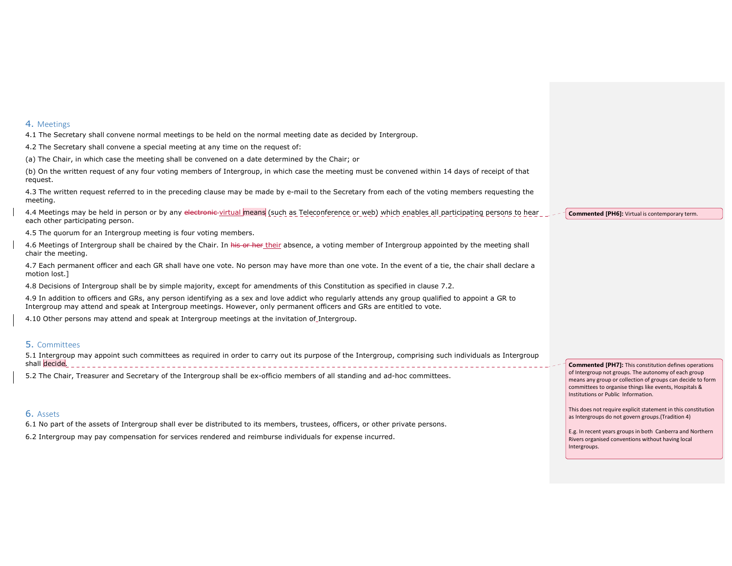### 4. Meetings

4.1 The Secretary shall convene normal meetings to be held on the normal meeting date as decided by Intergroup.

4.2 The Secretary shall convene a special meeting at any time on the request of:

(a) The Chair, in which case the meeting shall be convened on a date determined by the Chair; or

(b) On the written request of any four voting members of Intergroup, in which case the meeting must be convened within 14 days of receipt of that request.

4.3 The written request referred to in the preceding clause may be made by e-mail to the Secretary from each of the voting members requesting the meeting.

4.4 Meetings may be held in person or by any electronic virtual means (such as Teleconference or web) which enables all participating persons to hear each other participating person.

4.5 The quorum for an Intergroup meeting is four voting members.

4.6 Meetings of Intergroup shall be chaired by the Chair. In his or her their absence, a voting member of Intergroup appointed by the meeting shall chair the meeting.

4.7 Each permanent officer and each GR shall have one vote. No person may have more than one vote. In the event of a tie, the chair shall declare a motion lost.]

4.8 Decisions of Intergroup shall be by simple majority, except for amendments of this Constitution as specified in clause 7.2.

4.9 In addition to officers and GRs, any person identifying as a sex and love addict who regularly attends any group qualified to appoint a GR to Intergroup may attend and speak at Intergroup meetings. However, only permanent officers and GRs are entitled to vote.

4.10 Other persons may attend and speak at Intergroup meetings at the invitation of Intergroup.

### 5. Committees

5.1 Intergroup may appoint such committees as required in order to carry out its purpose of the Intergroup, comprising such individuals as Intergroup shall decide.

5.2 The Chair, Treasurer and Secretary of the Intergroup shall be ex-officio members of all standing and ad-hoc committees.

# 6. Assets

6.1 No part of the assets of Intergroup shall ever be distributed to its members, trustees, officers, or other private persons.

6.2 Intergroup may pay compensation for services rendered and reimburse individuals for expense incurred.

**Commented [PH6]:** Virtual is contemporary term.

**Commented [PH7]:** This constitution defines operations of Intergroup not groups. The autonomy of each group means any group or collection of groups can decide to form committees to organise things like events, Hospitals & Institutions or Public Information.

This does not require explicit statement in this constitution as Intergroups do not govern groups.(Tradition 4)

E.g. In recent years groups in both Canberra and Northern Rivers organised conventions without having local Intergroups.